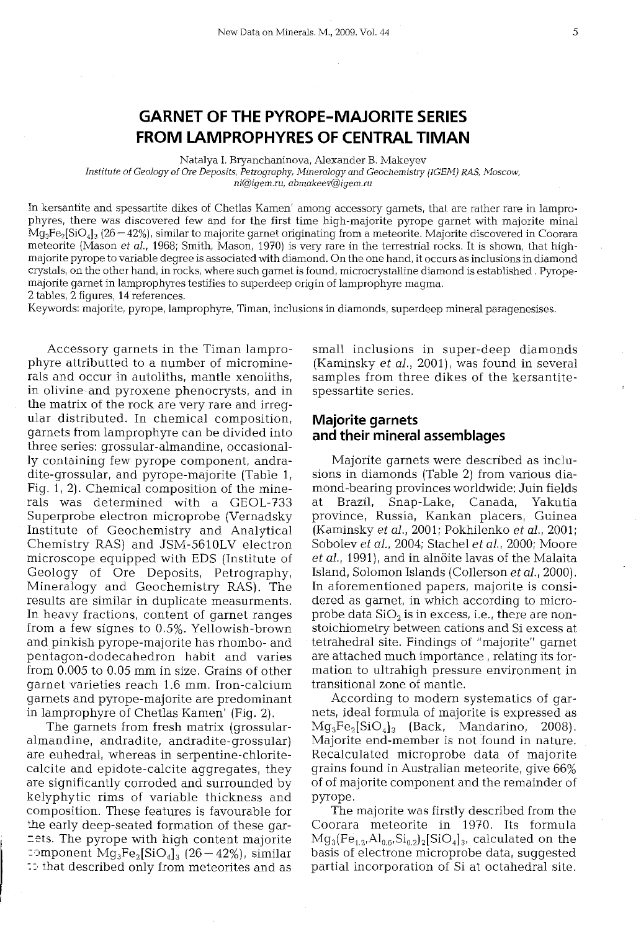# **GARNET OF THE PYROPE-MAJORITE SERIES FROM LAMPROPHYRES OF CENTRAL TIMAN**

Natalya I. Bryanchaninova, Alexander B. Makeyev *Institute* of *Geology* of *Ore Deposits, Petrography, Mineralogy and Geochemistry (IGEM) RAS, Moscow, [ni@igem.ru,](mailto:ni@igem.ru,) [abmakeeV@igem.ru](mailto:abmakeeV@igem.ru)*

In kersantite and spessartite dikes of Chetlas Kamen' among accessory garnets, that are rather rare in lamprophyres, there was discovered few and for the first time high-majorite pyrope garnet with majorite minal  $Mg_3Fe_2[SiO_4]_3$  (26 - 42%), similar to majorite garnet originating from a meteorite. Majorite discovered in Coorara meteorite (Mason *et aI.,* 1968; Smith, Mason, 1970) is very rare in the terrestrial rocks. It is shown, that highmajorite pyrope to variable degree is associated with diamond. On the one hand, it occurs as inclusions in diamond crystals, on the other hand, in rocks, where such garnet is found, microcrystalline diamond is established. Pyropemajorite garnet in lamprophyres testifies to superdeep origin of lamprophyre magma. 2 tables, 2 figures, 14 references.

Keywords: majorite, pyrope, lamprophyre, Timan, inclusions in diamonds, superdeep mineral paragenesises.

Accessory garnets in the Timan lamprophyre attributted to a number of microminerals and occur in autoliths, mantle xenoliths, in olivine and pyroxene phenocrysts, and in the matrix of the rock are very rare and irregular distributed. In chemical composition, garnets from lamprophyre can be divided into three series: grossular-almandine, occasionally containing few pyrope component, andradite-grossular, and pyrope-majorite (Table 1, Fig. 1,2). Chemical composition of the minerals was determined with a GEOL-733 Superprobe electron microprobe (Vernadsky Institute of Geochemistry and Analytical Chemistry RAS) and JSM-5610LV electron microscope equipped with EDS (Institute of Geology of Ore Deposits, Petrography, Mineralogy and Geochemistry RAS). The results are similar in duplicate measurments. In heavy fractions, content of garnet ranges from a few signes to 0.5%. Yellowish-brown and pinkish pyrope-majorite has rhombo- and pentagon-dodecahedron habit and varies from 0.005 to 0.05 mm in size. Grains of other garnet varieties reach 1.6 mm. Iron-calcium garnets and pyrope-majorite are predominant in lamprophyre of Chetlas Kamen' (Fig. 2).

The garnets from fresh matrix (grossularalmandine, andradite, andradite-grossular) are euhedral, whereas in serpentine-chloritecalcite and epidote-calcite aggregates, they are significantly corroded and surrounded by kelyphytic rims of variable thickness and composition. These features is favourable for the early deep-seated formation of these gar- =ets. The pyrope with high content majorite  $\epsilon$ omponent Mg $_3$ Fe $_2$ [SiO $_4]_3$  (26 $-$ 42%), similar :: that described only from meteorites and as small inclusions in super-deep diamonds (Kaminsky *et a1.,* 2001). was found in several samples from three dikes of the kersantitespessartite series.

# **Majorite garnets and their mineral assemblages**

Majorite garnets were described as inclusions in diamonds (Table 2) from various diamond-bearing provinces worldwide: Juin fields at Brazil, Snap-Lake, Canada, Yakutia province, Russia, Kankan placers, Guinea (Kaminsky *et a1.,* 2001; Pokhilenko *et a1., 2001;* Sobolev *et al.*, 2004; Stachel *et al.*, 2000; Moore et *al.*, 1991), and in alnotte lavas of the Malaita Island, Solomon Islands (Collerson *et a1.,* 2000). In aforementioned papers, majorite is considered as garnet, in which according to microprobe data  $SiO<sub>2</sub>$  is in excess, i.e., there are nonstoichiometry between cations and Si excess at tetrahedral site. Findings of "majorite" garnet are attached much importance, relating its formation to ultrahigh pressure environment in transitional zone of mantle.

According to modern systematics of garnets, ideal formula of majorite is expressed as  $Mg_3Fe_2[SiO_4]_3$  (Back, Mandarino, 2008). Majorite end-member is not found in nature. Recalculated microprobe data of majorite grains found in Australian meteorite, give 66% of of majorite component and the remainder of pyrope.

The majorite was firstly described from the Coorara meteorite in 1970. Its formula  $Mg_3(Fe_{1.2}, Al_{0.6}, Si_{0.2})_2[SiO_4]_3$ , calculated on the basis of electrone microprobe data, suggested partial incorporation of Si at octahedral site.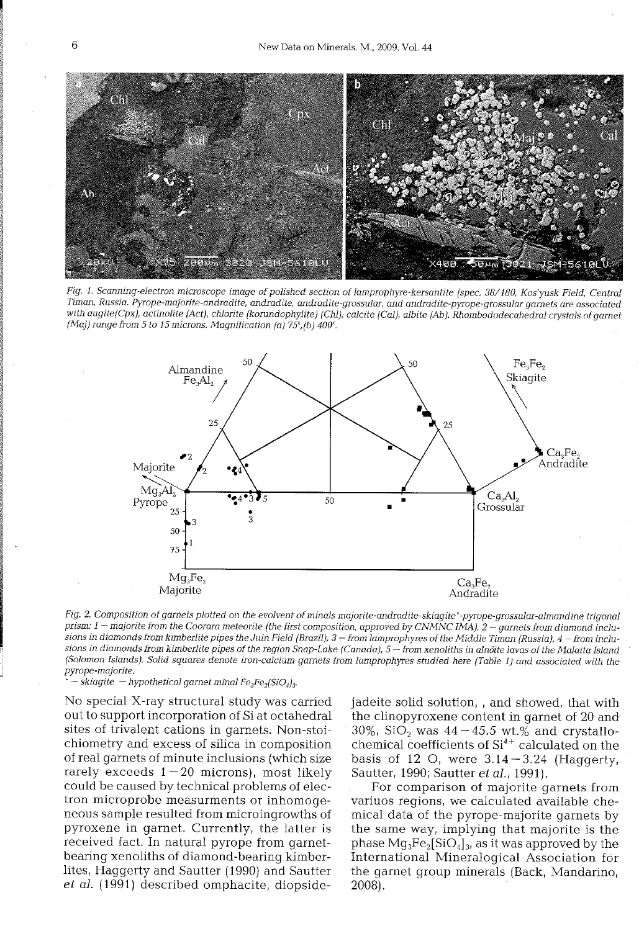

*Fig.* 1. *Scanning-electron microscope image* of *polished section* of *lamprophyre-kersantite (spec. 381180, Kos'yusk Field, Central Timan, Russia. Pyrope-majorite-andradite, andradite, andradite-grossular,* and *andradite-pyrope-grossular garnets are associated* with augite (Cpx), actinolite (Act), chlorite (korundophylite) (Chl), calcite (Cal), albite (Ab). Rhombododecahedral crystals of garnet *(Maj)* range from 5 to 15 microns. Magnification (a)  $75<sup>x</sup>$ *,(b)*  $400<sup>x</sup>$ *.* 



*Fig.* 2. *Composition* of *garnets plotted* on *the evolvent* of *minals majorite-andradite-skiagite'-pyrope-grossular-almandine trigonal* prism:  $1$  – majorite from the Coorara meteorite (the first composition, approved by CNMNC IMA),  $2$  – garnets from diamond inclusions in diamonds from kimberlite pipes the Juin Field (Brazil), 3 – from lamprophyres of the Middle Timan (Russia), 4 – from inclusions in diamonds from kimberlite pipes of the region Snap-Lake (Canada), 5 – from xenoliths in alnöite lavas of the Malaita Island (Solomon Islands). Solid squares denote iron-calcium garnets from lamprophyres studied here (Table 1) and associated with the *pyrope-majorite .*

*• - skiagite - hypothetical garnet minal Fefe2(Si04}3'*

No special X-ray structural study was carried out to support incorporation of Si at octahedral sites of trivalent cations in garnets. Non-stoichiometry and excess of silica in composition of real garnets of minute inclusions (which size rarely exceeds  $1-20$  microns), most likely could be caused by technical problems of electron microprobe measurments or inhomogeneous sample resulted from microingrowths of pyroxene in garnet. Currently, the latter is received fact. In natural pyrope from garnetbearing xenoliths of diamond-bearing kimberlites, Haggerty and Sautter (1990) and Sautter *et ai.* (1991) described omphacite, diopsidejadeite solid solution, , and showed, that with the clinopyroxene content in garnet of 20 and  $30\%$ , SiO<sub>2</sub> was  $44-45.5$  wt.% and crystallochemical coefficients of  $Si<sup>4+</sup>$  calculated on the basis of 12 O, were  $3.14 - 3.24$  (Haggerty, Sautter, 1990; Sautter *et ai., 1991).*

For comparison of majorite garnets from variuos regions, we calculated available chemical data of the pyrope-majorite garnets by the same way, implying that majorite is the phase  $Mg_3Fe_2[SiO_4]_3$  as it was approved by the International Mineralogical Association for the garnet group minerals (Back, Mandarino, 2008).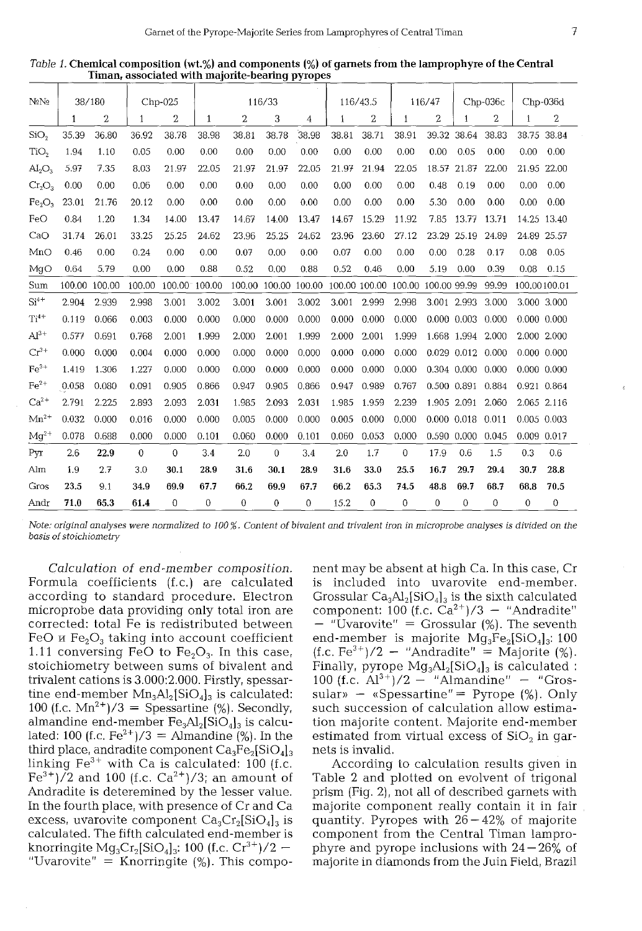| NoNo                           | 38/180       |                | $Chp-025$    |                | 116/33 |                |          | 116/43.5 |              | 116/47        |                     | $Chp-036c$     |                         | $Chp-036d$     |                 |                |
|--------------------------------|--------------|----------------|--------------|----------------|--------|----------------|----------|----------|--------------|---------------|---------------------|----------------|-------------------------|----------------|-----------------|----------------|
|                                | $\mathbf{1}$ | $\overline{2}$ | $\mathbf{1}$ | $\overline{2}$ | 1      | $\overline{2}$ | 3        | 4        | $\mathbf{1}$ | 2             | $\mathbf{1}$        | $\overline{2}$ | $\mathbf{1}$            | $\overline{2}$ | 1               | $\overline{2}$ |
| SiO <sub>2</sub>               | 35.39        | 36.80          | 36.92        | 38.78          | 38.98  | 38.81          | 38.78    | 38.98    | 38.81        | 38.71         | 38.91               |                | 39.32 38.64             | 38.83          | 38.75 38.84     |                |
| TiO <sub>2</sub>               | 1.94         | 1.10           | 0.05         | 0.00           | 0.00   | 0.00           | 0.00     | 0.00     | 0.00         | 0.00          | 0.00                | 0.00           | 0.05                    | 0.00           | 0.00            | 0.00           |
| AI <sub>2</sub> O <sub>3</sub> | 5.97         | 7.35           | 8.03         | 21.97          | 22.05  | 21.97          | 21.97    | 22.05    | 21.97        | 21.94         | 22.05               |                | 18.57 21.87             | 22.00          | 21.95 22.00     |                |
| $Cr_2O_3$                      | 0.00         | 0.00           | 0.06         | 0.00           | 0.00   | 0.00           | 0.00     | 0.00     | 0.00         | 0.00          | 0.00                | 0.48           | 0.19                    | 0.00           | 0.00            | 0.00           |
| Fe <sub>2</sub> O <sub>3</sub> | 23.01        | 21.76          | 20.12        | 0.00           | 0.00   | 0.00           | 0.00     | 0.00     | 0.00         | 0.00          | 0.00                | 5.30           | 0.00                    | 0.00           | 0.00            | 0.00           |
| FeO                            | 0.84         | 1.20           | 1.34         | 14.00          | 13.47  | 14.67          | 14.00    | 13.47    | 14.67        | 15.29         | 11.92               | 7.85           | 13.77                   | 13.71          | 14.25 13.40     |                |
| CaO                            | 31.74        | 26.01          | 33.25        | 25.25          | 24.62  | 23.96          | 25.25    | 24.62    | 23.96        | 23.60         | 27.12               |                | 23.29 25.19             | 24.89          | 24.89 25.57     |                |
| MnO                            | 0.46         | 0.00           | 0.24         | 0.00           | 0.00   | 0.07           | 0.00     | 0.00     | 0.07         | 0.00          | 0.00                | 0.00           | 0.28                    | 0.17           | 0.08            | 0.05           |
| MgO                            | 0.64         | 5.79           | 0.00         | 0.00           | 0.88   | 0.52           | 0.00     | 0.88     | 0.52         | 0.46          | 0.00                | 5.19           | 0.00                    | 0.39           | 0.08            | 0.15           |
| Sum                            | 100.00       | 100.00         | 100.00       | 100.00         | 100.00 | 100.00         | 100.00   | 100.00   |              | 100.00 100.00 | 100.00 100.00 99.99 |                |                         | 99.99          | 100.00100.01    |                |
| $Si4+$                         | 2.904        | 2.939          | 2.998        | 3.001          | 3.002  | 3.001          | 3.001    | 3.002    | 3.001        | 2.999         | 2.998               | 3.001 2.993    |                         | 3.000          | 3.000 3.000     |                |
| $Ti4+$                         | 0.119        | 0.066          | 0.003        | 0.000          | 0.000  | 0.000          | 0.000    | 0.000    | 0.000        | 0.000         | 0.000               |                | $0.000$ $0.003$ $0.000$ |                | $0.000$ $0.000$ |                |
| $Al^{3+}$                      | 0.577        | 0.691          | 0.768        | 2.001          | 1.999  | 2.000          | 2.001    | 1.999    | 2.000        | 2.001         | 1.999               |                | 1.668 1.994 2.000       |                | 2.000 2.000     |                |
| $Cr^{3+}$                      | 0.000        | 0.000          | 0.004        | 0.000          | 0.000  | 0.000          | 0.000    | 0.000    | 0.000        | 0.000         | 0.000               |                | 0.029 0.012 0.000       |                | $0.000\ 0.000$  |                |
| $\text{Fe}^{3+}$               | 1.419        | 1.306          | 1.227        | 0.000          | 0.000  | 0.000          | 0.000    | 0.000    | 0.000        | 0.000         | 0.000               |                | 0.304 0.000 0.000       |                | $0.000\ 0.000$  |                |
| $\text{Fe}^{2+}$               | 0.058        | 0.080          | 0.091        | 0.905          | 0.866  | 0.947          | 0.905    | 0.866    | 0.947        | 0.989         | 0.767               |                | 0.500 0.891 0.884       |                | 0.921 0.864     |                |
| $Ca2+$                         | 2.791        | 2.225          | 2.893        | 2.093          | 2.031  | 1.985          | 2.093    | 2.031    | 1.985        | 1.959         | 2.239               |                | 1.905 2.091             | 2.060          | 2.065 2.116     |                |
| $Mn^{2+}$                      | 0.032        | 0.000          | 0.016        | 0.000          | 0.000  | 0.005          | 0.000    | 0.000    | 0.005        | 0.000         | 0.000               |                | 0.000 0.018 0.011       |                | 0.005 0.003     |                |
| $Mg^{2+}$                      | 0.078        | 0.688          | 0.000        | 0.000          | 0.101  | 0.060          | 0.000    | 0.101    | 0.060        | 0.053         | 0.000               |                | 0.590 0.000             | 0.045          | 0.009 0.017     |                |
| Pyr                            | 2.6          | 22.9           | 0            | $\overline{0}$ | 3.4    | 2.0            | $\Omega$ | 3.4      | 2.0          | 1.7           | $\mathbf 0$         | 17.9           | 0.6                     | 1.5            | 0,3             | 0.6            |
| Alm                            | 1.9          | 2.7            | 3.0          | 30.1           | 28.9   | 31.6           | 30.1     | 28.9     | 31.6         | 33.0          | 25.5                | 16.7           | 29.7                    | 29.4           | 30.7            | 28.8           |
| Gros                           | 23.5         | 9.1            | 34.9         | 69.9           | 67.7   | 66.2           | 69.9     | 67.7     | 66.2         | 65.3          | 74.5                | 48.8           | 69.7                    | 68.7           | 68.8            | 70.5           |
| Andr                           | 71.0         | 65.3           | 61.4         | $\Omega$       | 0      | $\bf{0}$       | $\Omega$ | $\Omega$ | 15.2         | $\Omega$      | $\mathbf{0}$        | $\mathbf{0}$   | $\overline{0}$          | $\mathbf{O}$   | $\mathbf{O}$    | $\mathbf{O}$   |

*Table* 1.Chemical composition (wt.%) and components (%) of garnets from the lamprophyre of the Central Timan, associated with majorite-bearing pyropes

Note: original analyses were normalized to 100%. Content of bivalent and trivalent iron in microprobe analyses is divided on the *basis* of *stoichiometry*

*Calculation* of *end-member composition.* Formula coefficients (f.c.) are calculated according to standard procedure. Electron microprobe data providing only total iron are corrected: total Fe is redistributed between FeO  $\mu$  Fe<sub>2</sub>O<sub>3</sub> taking into account coefficient 1.11 conversing FeO to  $Fe<sub>2</sub>O<sub>3</sub>$ . In this case, stoichiometry between sums of bivalent and trivalent cations is 3.000:2.000. Firstly, spessartine end-member  $Mn_3Al_2[SiO_4]_3$  is calculated: 100 (f.c.  $\text{Mn}^{2+}$ )/3 = Spessartine (%). Secondly, almandine end-member  $Fe<sub>3</sub>Al<sub>2</sub>[SiO<sub>4</sub>]$  is calculated: 100 (f.c.  $Fe^{2+}$ )/3 = Almandine (%). In the third place, andradite component  $Ca_3Fe_2[SiO_4]_3$ linking Fe $^{3+}$  with Ca is calculated: 100 (f.c. Fe $^{3+})/2$  and 100 (f.c. Ca $^{2+})/3$ ; an amount of Andradite is deteremined by the lesser value. In the fourth place, with presence of Cr and Ca excess, uvarovite component  $Ca<sub>3</sub>Cr<sub>2</sub>[SiO<sub>4</sub>]$ <sub>3</sub> is calculated. The fifth calculated end-member is calculated. The fifth calculated end-member :<br>knorringite Mg<sub>3</sub>Cr<sub>2</sub>[SiO<sub>4</sub>]<sub>3</sub>: 100 (f.c. Cr<sup>3+</sup>)/2 -"Uvarovite" = Knorringite  $(\%)$ . This component may be absent at high Ca. In this case, Cr is included into uvarovite end-member. Grossular  $Ca<sub>3</sub>Al<sub>2</sub>[SiO<sub>4</sub>]$ <sub>3</sub> is the sixth calculated component:  $100$  (f.c.  $Ca^{2+}$ )/3 - "Andradite"  $-$  "Uvarovite" = Grossular  $(\%)$ . The seventh end-member is majorite  $Mq_3Fe_2[SiO_4]_3$ : 100  $(f.c. Fe<sup>3+</sup>)/2 - "Andradite" = Majorite (%).$ Finally, pyrope  $Mg_3Al_2[SiO_4]_3$  is calculated: 100 (f.c.  $A1^{3+}/2 - {}^{\text{II}}$ Almandine" - "Grossular» - «Spessartine" = Pyrope  $(\%)$ . Only such succession of calculation allow estimation majorite content. Majorite end-member estimated from virtual excess of  $SiO<sub>2</sub>$  in garnets is invalid.

According to calculation results given in Table 2 and plotted on evolvent of trigonal prism (Fig. 2), not all of described garnets with majorite component really contain it in fair quantity. Pyropes with  $26 - 42\%$  of majorite component from the Central Timan lamprophyre and pyrope inclusions with  $24 - 26\%$  of majorite in diamonds from the Juin Field, Brazil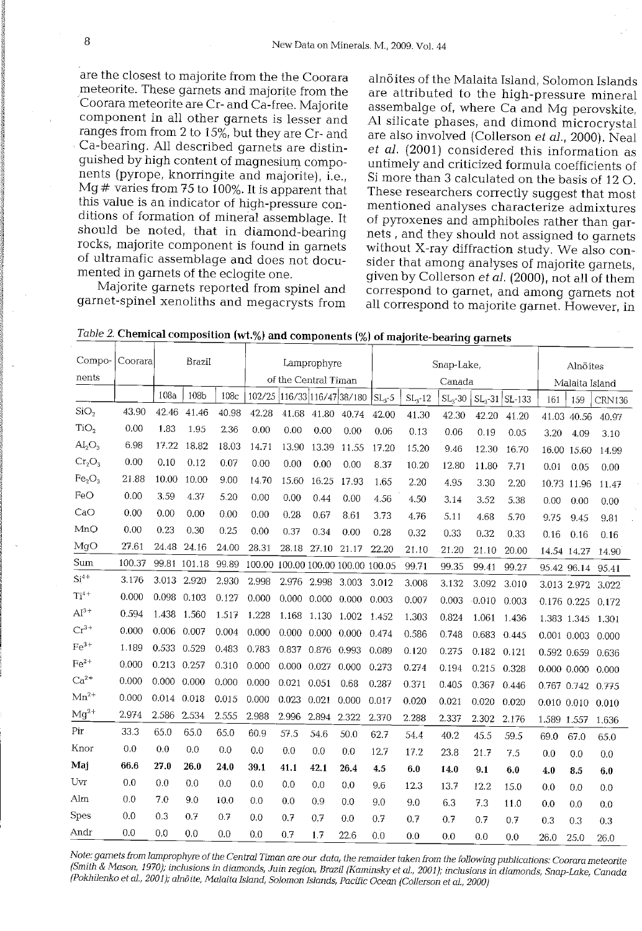are the closest to majorite from the the Coorara meteorite. These garnets and majorite from the Coorara meteorite are Cr- and Ca-free. Majorite component in all other garnets is lesser and ranges from from 2 to 15%, but they are Cr- and Ca-bearing. All described garnets are distinguished by high content of magnesium components (pyrope, knorringite and majorite), i.e., Mg # varies from <sup>75</sup> to 100%. It is apparent that this value is an indicator of high-pressure conditions of formation of mineral assemblage. It should be noted, that in diamond-bearing rocks, majorite component is found in garnets of ultramafic assemblage and does not documented in garnets of the eclogite one.

Majorite garnets reported from spinel and garnet-spinel xenoliths and megacrysts from

alnöites of the Malaita Island, Solomon Islands are attributed to the high-pressure mineral assembalge of, where Ca and Mg perovskite, Al silicate phases, and dimond microcrystal are also involved (Collerson *et ai.,* 2000). Neal *et ai.* (2001) considered this information as untimely and criticized formula coefficients of Si more than 3 calculated on the basis of 12 O. These researchers correctly suggest that most mentioned analyses characterize admixtures of pyroxenes and amphiboles rather than garnets, and they should not assigned to garnets without X-ray diffraction study. We also consider that among analyses of majorite garnets, given by Collerson *et ai.* (2000), not all of them correspond to garnet, and among garnets not all correspond to majorite garnet. However, in

| Compo-                         | Coorara | Brazil          |              |       | Lamprophyre          |             |                         |                                    |                 | Snap-Lake, |          |             |                  |                 |                 | Alnöites      |  |  |
|--------------------------------|---------|-----------------|--------------|-------|----------------------|-------------|-------------------------|------------------------------------|-----------------|------------|----------|-------------|------------------|-----------------|-----------------|---------------|--|--|
| nents                          |         |                 |              |       | of the Central Timan |             |                         |                                    |                 | Canada     |          |             |                  |                 | Malaita Island  |               |  |  |
|                                |         | 108a            | 108b         | 108c  | 102/25               |             |                         | 116/33 116/47 38/180               | SL <sub>5</sub> | $SL3-12$   | $SL3-30$ |             | $SL_3-31$ SL-133 | 161             | 159             | <b>CRN136</b> |  |  |
| SiO <sub>2</sub>               | 43.90   | 42.46           | 41.46        | 40.98 | 42.28                | 41.68       | 41.80                   | 40.74                              | 42.00           | 41.30      | 42.30    | 42.20       | 41.20            |                 | 41.03 40.56     | 40.97         |  |  |
| TiO <sub>2</sub>               | 0.00    | 1.83            | 1.95         | 2.36  | 0.00                 | 0.00        | 0.00                    | 0.00                               | 0.06            | 0.13       | 0.06     | 0.19        | 0.05             | 3.20            | 4.09            | 3.10          |  |  |
| AI <sub>2</sub> O <sub>3</sub> | 6.98    | 17.22           | 18.82        | 18.03 | 14.71                | 13.90       | 13.39                   | 11.55                              | 17.20           | 15.20      | 9.46     | 12.30       | 16.70            |                 | 16.00 15.60     | 14.99         |  |  |
| $Cr_2O_3$                      | 0.00    | 0.10            | 0.12         | 0.07  | 0.00                 | 0.00        | 0.00                    | 0.00                               | 8.37            | 10.20      | 12.80    | 11.80       | 7.71             | 0.01            | 0.05            | 0.00          |  |  |
| Fe <sub>2</sub> O <sub>3</sub> | 21.88   | 10.00           | 10.00        | 9.00  | 14.70                | 15.60       | 16.25                   | 17.93                              | 1.65            | 2.20       | 4.95     | 3.30        | 2.20             |                 | 10.73 11.96     | 11.47         |  |  |
| FeO                            | 0.00    | 3.59            | 4.37         | 5.20  | 0.00                 | 0.00        | 0.44                    | 0.00                               | 4.56            | 4.50       | 3.14     | 3.52        | 5.38             | 0.00            | 0.00            | 0.00          |  |  |
| CaO                            | 0.00    | 0.00            | 0.00         | 0.00  | 0.00                 | 0.28        | 0.67                    | 8.61                               | 3.73            | 4.76       | 5.11     | 4.68        | 5.70             | 9.75            | 9.45            | 9.81          |  |  |
| MnO                            | 0.00    | 0.23            | 0.30         | 0.25  | 0.00                 | 0.37        | 0.34                    | 0.00                               | 0.28            | 0.32       | 0.33     | 0.32        | 0.33             | 0.16            | 0.16.           | 0.16          |  |  |
| MqO                            | 27.61   | 24.48           | 24.16        | 24.00 | 28.31                | 28.18       | 27.10                   | 21.17                              | 22.20           | 21.10      | 21.20    | 21.10       | 20.00            |                 | 14.54 14.27     | 14.90         |  |  |
| Sum                            | 100.37  |                 | 99.81 101.18 | 99.89 |                      |             |                         | 100.00 100.00 100.00 100.00 100.05 |                 | 99.71      | 99.35    | 99.41       | 99.27            |                 | 95.42 96.14     | 95.41         |  |  |
| $Si4+$                         | 3.176   | 3.013           | 2.920        | 2.930 | 2.998                | 2.976       | 2.998                   | 3.003                              | 3.012           | 3.008      | 3.132    | 3.092       | 3.010            |                 | 3.013 2.972     | 3.022         |  |  |
| $Ti4+$                         | 0.000   | 0.098           | 0.103        | 0.127 | 0.000                |             | $0.000$ $0.000$ $0.000$ |                                    | 0.003           | 0.007      | 0.003    | 0.010       | 0.003            | 0.176 0.225     |                 | 0.172         |  |  |
| $AI3+$                         | 0.594   | 1.438           | 1.560        | 1.517 | 1.228                | 1.168       | 1.130                   | 1.002                              | 1.452           | 1.303      | 0.824    | 1.061       | 1.436            |                 | 1.383 1.345     | 1.301         |  |  |
| $Cr^{3+}$                      | 0.000   |                 | 0.006 0.007  | 0.004 | 0.000                | 0.000       | 0.000                   | 0.000                              | 0.474           | 0.586      | 0.748    | 0.683       | 0.445            |                 | $0.001$ $0.003$ | 0.000         |  |  |
| $\mathrm{Fe}^{3+}$             | 1.189   | 0.533           | 0.529        | 0.483 | 0.783                |             | 0.837 0.876             | 0.993                              | 0.089           | 0.120      | 0.275    | 0.182 0.121 |                  | 0.592 0.659     |                 | 0.636         |  |  |
| $\rm Fe^{2+}$                  | 0.000   | $0.213$ $0.257$ |              | 0.310 | 0.000                | 0.000       | 0.027                   | 0.000                              | 0.273           | 0.274      | 0.194    | 0.215       | 0.328            | $0.000$ $0.000$ |                 | 0.000         |  |  |
| $Ca^{2+}$                      | 0.000   | 0.000           | 0.000        | 0.000 | 0.000                | 0.021 0.051 |                         | 0.68                               | 0.287           | 0.371      | 0.405    | 0.367       | 0.446            | 0.767 0.742     |                 | 0.775         |  |  |
| $Mn^{2+}$                      | 0.000   | 0.014 0.018     |              | 0.015 | 0.000                | 0.023       | 0.021                   | 0.000                              | 0.017           | 0.020      | 0.021    | 0.020       | 0.020            | $0.010$ $0.010$ |                 | 0.010         |  |  |
| $Mq^{2+}$                      | 2.974   | 2.586           | 2.534        | 2.555 | 2.988                | 2.996       | 2.894 2.322             |                                    | 2.370           | 2.288      | 2.337    | 2.302       | 2.176            | 1.589 1.557     |                 | 1,636         |  |  |
| Pir                            | 33.3    | 65.0            | 65.0         | 65.0  | 60.9                 | 57.5        | 54.6                    | 50.0                               | 62.7            | 54.4       | 40.2     | 45.5        | 59.5             | 69.0            | 67.0            | 65.0          |  |  |
| Knor                           | 0.0     | 0.0             | 0.0          | 0.0   | 0.0                  | 0.0         | 0.0                     | 0.0                                | 12.7            | 17.2       | 23.8     | 21.7        | 7.5              | 0.0             | 0.0             | 0.0           |  |  |
| Maj                            | 66.6    | 27.0            | 26.0         | 24.0  | 39.1                 | 41.1        | 42.1                    | 26.4                               | 4.5             | 6.0        | 14.0     | 9.1         | 6.0              | 4.0             | 8.5             | 6.0           |  |  |
| Uvr                            | 0.0     | 0.0             | 0.0          | 0.0   | 0.0                  | 0.0         | 0.0                     | 0.0                                | 9.6             | 12.3       | 13.7     | 12.2        | 15.0             | 0.0             | 0.0             | 0.0           |  |  |
| Alm                            | 0.0     | 7.0             | 9.0          | 10.0  | 0.0                  | 0.0         | 0.9                     | 0.0                                | 9.0             | 9.0        | 6.3      | 7.3         | 11.0             | 0.0             | 0.0             | 0.0           |  |  |
| Spes                           | 0.0     | 0.3             | 0.7          | 0.7   | 0.0                  | 0.7         | 0.7                     | 0.0                                | 0.7             | 0.7        | 0.7      | 0.7         | 0.7              | 0.3             | 0.3             | 0.3           |  |  |
| Andr                           | 0.0     | 0.0             | 0.0          | 0.0   | 0.0                  | 0.7         | 1.7                     | 22.6                               | 0.0             | 0.0        | 0.0      | 00          | 0 <sub>0</sub>   | 26 O            | 25 O            | ጋፍ ስ          |  |  |

Table 2. Chemical composition (wt.%) and components (%) of majorite-bearing garnets

Note: garnets from lamprophyre of the Central Timan are our data, the remaider taken from the following publications: Coorara meteorite (Smith & Mason, 1970); inclusions in diamonds, Juin region, Brazil (Kaminsky et al., 2001); inclusions in diamonds, Snap-Lake, Canada *(Pokhilenko et al., 2001); alnd ite, Malaita Island, Solomon Islands, Pacific Ocean (Collerson et al., 2000)*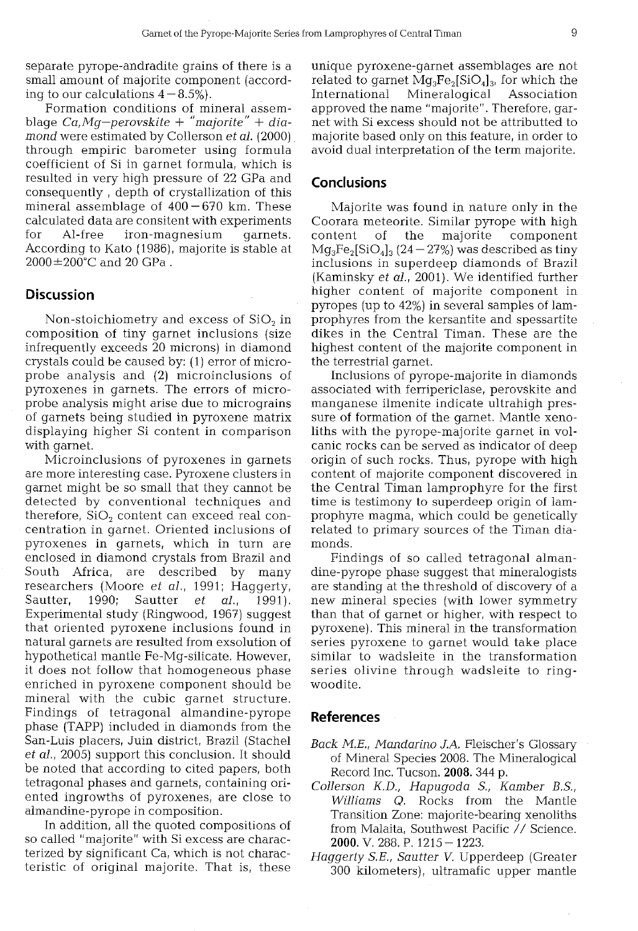separate pyrope-andradite grains of there is a small amount of majorite component (according to our calculations  $4-8.5%$ ).

Formation conditions of mineral assemblage *Ca,Mg-perovskite* + *"majorite"* + *diamond* were estimated by Collerson *et a1.(2000)* through empiric barometer using formula coefficient of Si in garnet formula, which is resulted in very high pressure of 22 GPa and consequently, depth of crystallization of this mineral assemblage of  $400 - 670$  km. These calculated data are consitent with experiments for AI-free iron-magnesium garnets. According to Kato (1986), majorite is stable at  $2000\pm200$ °C and  $20$  GPa.

## **Discussion**

Non-stoichiometry and excess of  $SiO<sub>2</sub>$  in composition of tiny garnet inclusions (size infrequently exceeds 20 microns) in diamond crystals could be caused by: (1) error of microprobe analysis and (2) microinclusions of pyroxenes in garnets. The errors of microprobe analysis might arise due to micrograins of garnets being studied in pyroxene matrix displaying higher Si content in comparison with garnet.

Microinclusions of pyroxenes in garnets are more interesting case. Pyroxene clusters in garnet might be so small that they cannot be detected by conventional techniques and therefore,  $SiO<sub>2</sub>$  content can exceed real concentration in garnet. Oriented inclusions of pyroxenes in garnets, which in turn are enclosed in diamond crystals from Brazil and South Africa, are described by many researchers (Moore *et a1.,* 1991; Haggerty, Sautter, 1990; Sautter *et a1., 1991).* Experimental study (Ringwood, 1967) suggest that oriented pyroxene inclusions found in natural garnets are resulted from exsolution of hypothetical mantle Fe-Mg-silicate. However, it does not follow that homogeneous phase enriched in pyroxene component should be mineral with the cubic garnet structure. Findings of tetragonal almandine-pyrope phase (TAPP) included in diamonds from the San-Luis placers, Juin district, Brazil (Stachel *et a1.,* 2005) support this conclusion. It should be noted that according to cited papers, both tetragonal phases and garnets, containing oriented ingrowths of pyroxenes, are close to almandine-pyrope in composition.

In addition, all the quoted compositions of so called "majorite" with Si excess are characterized by significant Ca, which is not characteristic of original majorite. That is, these

unique pyroxene-garnet assemblages are not  $r_{\text{enduced}}$  and  $r_{\text{enological}}$  and  $r_{\text{enological}}$  for which the International Mineralogical Association approved the name "majorite". Therefore, garnet with Si excess should not be attributted to majorite based only on this feature, in order to avoid dual interpretation of the term majorite.

# **Conclusions**

Majorite was found in nature only in the Coorara meteorite. Similar pyrope with high content of the majorite component  $Mg_3Fe_2[SiO_4]_3$  (24 - 27%) was described as tiny inclusions in superdeep diamonds of Brazil (Kaminsky *et a1.,* 2001). We identified further higher content of majorite component in pyropes (up to 42%) in several samples of lamprophyres from the kersantite and spessartite dikes in the Central Timan. These are the highest content of the majorite component in the terrestrial garnet.

Inclusions of pyrope-majorite in diamonds associated with ferripericlase, perovskite and manganese ilmenite indicate ultrahigh pressure of formation of the garnet. Mantle xenoliths with the pyrope-majorite garnet in volcanic rocks can be served as indicator of deep origin of such rocks. Thus, pyrope with high content of majorite component discovered in the Central Timan lamprophyre for the first time is testimony to superdeep origin of lamprophyre magma, which could be genetically related to primary sources of the Timan diamonds.

Findings of so called tetragonal almandine-pyrope phase suggest that mineralogists are standing at the threshold of discovery of a new mineral species (with lower symmetry than that of garnet or higher, with respect to pyroxene). This mineral in the transformation series pyroxene to garnet would take place similar to wadsleite in the transformation series olivine through wadsleite to ringwoodite.

#### **References**

- *Back ME, Mandarino J.A.* Fleischer's Glossary of Mineral Species 2008. The Mineralogical Record Inc. Tucson. **2008.** 344 p.
- *Collerson K.D., Hapugoda S., Kamber B.S., Williams Q.* Rocks from the Mantle Transition Zone: majorite-bearing xenoliths from Malaita, Southwest Pacific // Science. **2000.** V. 288. P. 1215 - 1223.
- *Haggerty S.E., Sautter V.* Upperdeep (Greater 300 kilometers). ultramafic upper mantle